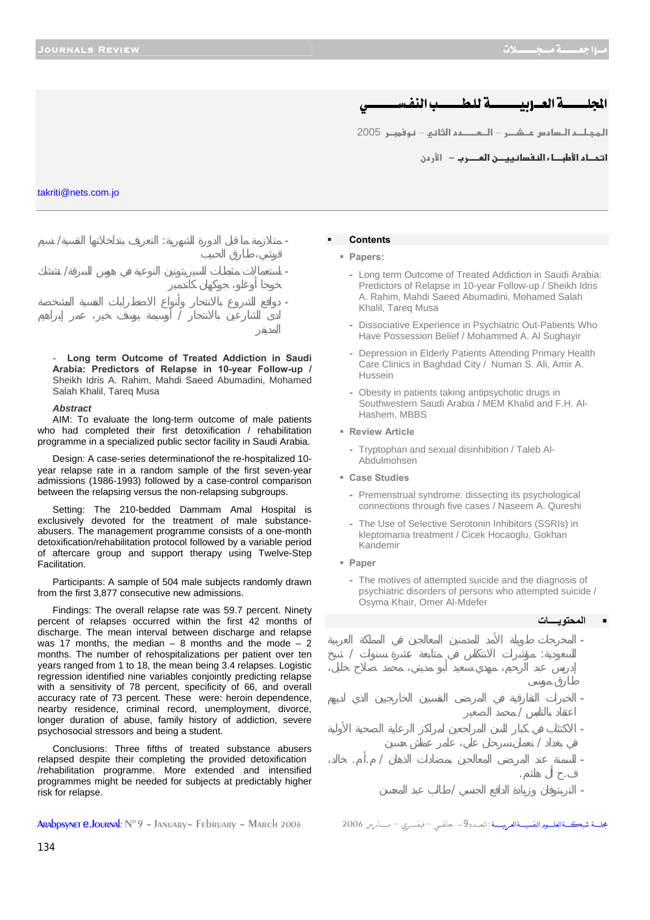## نة العسادسسسسية للطسسيب النفس

<mark>المجـلــم الـسامس عــشـــر – الــمـــــمم الثاني – نـوفمبــر 2005</mark>

**ا تحـاد الأطبــاء النفسانييـــن العــــرب −** الأر دن

### takriti@nets.com.jo



**- Long term Outcome of Treated Addiction in Saudi Arabia: Predictors of Relapse in 10-year Follow-up /**  Sheikh Idris A. Rahim, Mahdi Saeed Abumadini, Mohamed Salah Khalil, Tareq Musa

### *Abstract*

AIM: To evaluate the long-term outcome of male patients who had completed their first detoxification / rehabilitation programme in a specialized public sector facility in Saudi Arabia.

Design: A case-series determinationof the re-hospitalized 10 year relapse rate in a random sample of the first seven-year admissions (1986-1993) followed by a case-control comparison between the relapsing versus the non-relapsing subgroups.

Setting: The 210-bedded Dammam Amal Hospital is exclusively devoted for the treatment of male substanceabusers. The management programme consists of a one-month detoxification/rehabilitation protocol followed by a variable period of aftercare group and support therapy using Twelve-Step Facilitation.

Participants: A sample of 504 male subjects randomly drawn from the first 3,877 consecutive new admissions.

Findings: The overall relapse rate was 59.7 percent. Ninety percent of relapses occurred within the first 42 months of discharge. The mean interval between discharge and relapse was 17 months, the median  $-8$  months and the mode  $-2$ months. The number of rehospitalizations per patient over ten years ranged from 1 to 18, the mean being 3.4 relapses. Logistic regression identified nine variables conjointly predicting relapse with a sensitivity of 78 percent, specificity of 66, and overall accuracy rate of 73 percent. These were: heroin dependence, nearby residence, criminal record, unemployment, divorce, longer duration of abuse, family history of addiction, severe psychosocial stressors and being a student.

Conclusions: Three fifths of treated substance abusers relapsed despite their completing the provided detoxification /rehabilitation programme. More extended and intensified programmes might be needed for subjects at predictably higher risk for relapse.

ـةالعلــورالتفسيــةالعربيــــة : العــدد9 – جانفـى – فيفـــرى – مــــامن 2006 Arabpsynet e.Journal: N° 9 – January– February – March 2006

# **Papers:**

**Contents**

- Long term Outcome of Treated Addiction in Saudi Arabia: Predictors of Relapse in 10-year Follow-up / Sheikh Idris
	- A. Rahim, Mahdi Saeed Abumadini, Mohamed Salah Khalil, Tareq Musa
	- Dissociative Experience in Psychiatric Out-Patients Who Have Possession Belief / Mohammed A. Al Sughayir
	- Depression in Elderly Patients Attending Primary Health Care Clinics in Baghdad City / Numan S. Ali, Amir A. Hussein
	- Obesity in patients taking antipsychotic drugs in Southwestern Saudi Arabia / MEM Khalid and F.H. Al-Hashem, MBBS
- **Review Article** 
	- Tryptophan and sexual disinhibition / Taleb Al-Abdulmohsen
- **Case Studies** 
	- Premenstrual syndrome: dissecting its psychological connections through five cases / Naseem A. Qureshi
	- The Use of Selective Serotonin Inhibitors (SSRIs) in kleptomania treatment / Cicek Hocaoglu, Gokhan Kandemir
- **Paper** 
	- The motives of attempted suicide and the diagnosis of psychiatric disorders of persons who attempted suicide / Osyma Khair, Omer Al-Mdefer

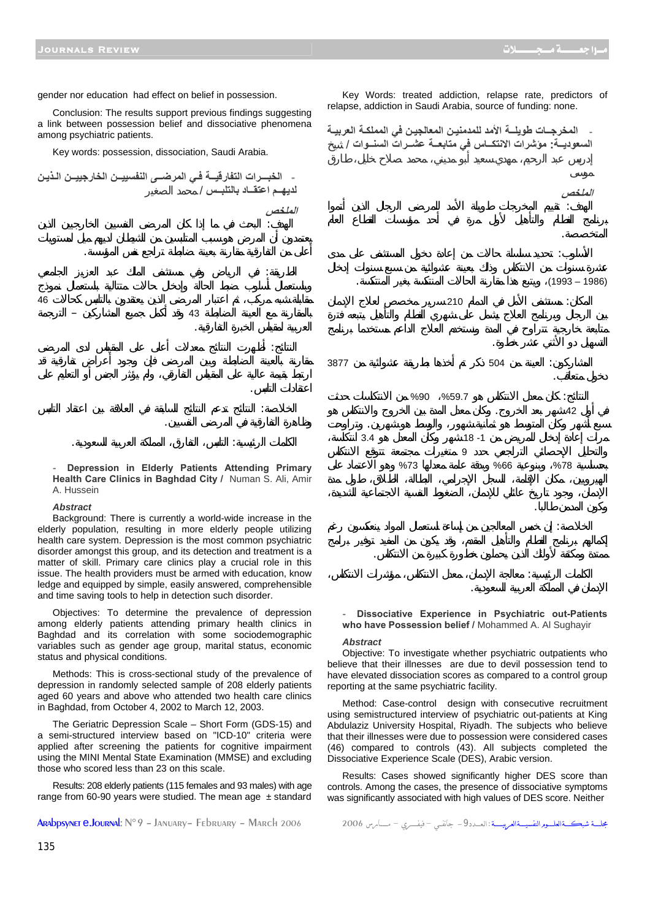Conclusion: The results support previous findings suggesting a link between possession belief and dissociative phenomena among psychiatric patients.

Key words: possession, dissociation, Saudi Arabia.

**- الخبـــرات التفارقيــة فـي المرضــى النفسييــن الخارجييــن الـذيـن**

الهدف: البحث في ما إذا كان المرضى النفسيين الخارجيين الذين

الطريقة: في الرياض وفي مستشفى الملك عبد العزيز الجامعي

النتائج: أظهرت النتائج معدلات أعلى على المقياس لدى المرضى

الخلاصة: النتائج تدعم النتائج السابقة في العلاقة بين اعتقاد التلبس

 $46$ بالمقارنة مع العينة الضابطة 43 وقد أكمل جميع المشاركين – الترجمة

أعلى من التفارقية مقارنة بعينة ضابطة تراجع نفس المؤسسة.

**لديهــم اعتقــاد بالتلبــس** / محمد الصغير

العربية لمقياس الخبرة التفارقية.

وظاهرة التفارقية في المرضى النفسيين.

**الملخص**

اعتقادات التلبس.

الكلمات الرئيسية: التلبس، التفارق، المملكة العربية السعودية. **- Depression in Elderly Patients Attending Primary Health Care Clinics in Baghdad City /** Numan S. Ali, Amir A. Hussein

### *Abstract*

Background: There is currently a world-wide increase in the elderly population, resulting in more elderly people utilizing health care system. Depression is the most common psychiatric disorder amongst this group, and its detection and treatment is a matter of skill. Primary care clinics play a crucial role in this issue. The health providers must be armed with education, know ledge and equipped by simple, easily answered, comprehensible and time saving tools to help in detection such disorder.

Objectives: To determine the prevalence of depression among elderly patients attending primary health clinics in Baghdad and its correlation with some sociodemographic variables such as gender age group, marital status, economic status and physical conditions.

Methods: This is cross-sectional study of the prevalence of depression in randomly selected sample of 208 elderly patients aged 60 years and above who attended two health care clinics in Baghdad, from October 4, 2002 to March 12, 2003.

The Geriatric Depression Scale – Short Form (GDS-15) and a semi-structured interview based on "ICD-10" criteria were applied after screening the patients for cognitive impairment using the MINI Mental State Examination (MMSE) and excluding those who scored less than 23 on this scale.

Results: 208 elderly patients (115 females and 93 males) with age range from 60-90 years were studied. The mean age  $\pm$  standard

Arabpsynet e.Journal: N°9 – January– February – March 2006 <sup>2006</sup> مـــــــارس – فيفــــــري – فـــيÿجا -9الـعــــدد: شبكـــــةالعلــــــومالنفسيـــــةالعربيـــــــة مجلــــــة

Key Words: treated addiction, relapse rate, predictors of relapse, addiction in Saudi Arabia, source of funding: none.

**- المخرجــات طويلــة الأمد للمدمنيـن المعالجيـن في المملكـة العربيـة السعوديــة: مؤشرات الانتكــاس في متابعــة عشــرات السنــوات** / يخ



**- Dissociative Experience in Psychiatric out-Patients who have Possession belief /** Mohammed A. Al Sughayir

#### *Abstract*

Objective: To investigate whether psychiatric outpatients who believe that their illnesses are due to devil possession tend to have elevated dissociation scores as compared to a control group reporting at the same psychiatric facility.

Method: Case-control design with consecutive recruitment using semistructured interview of psychiatric out-patients at King Abdulaziz University Hospital, Riyadh. The subjects who believe that their illnesses were due to possession were considered cases (46) compared to controls (43). All subjects completed the Dissociative Experience Scale (DES), Arabic version.

Results: Cases showed significantly higher DES score than controls. Among the cases, the presence of dissociative symptoms was significantly associated with high values of DES score. Neither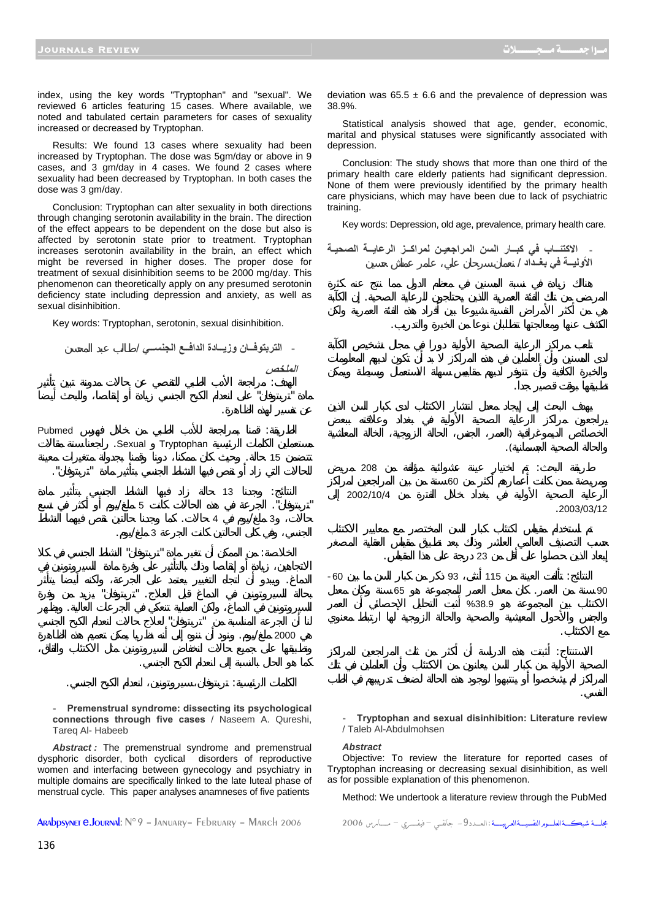تطبيقها بوقت قصير دا.

والحالة الصحية الجسمانية).

.2003/03/12

مع الاكتئاب.

النفسي.

index, using the key words "Tryptophan" and "sexual". We reviewed 6 articles featuring 15 cases. Where available, we noted and tabulated certain parameters for cases of sexuality increased or decreased by Tryptophan.

Results: We found 13 cases where sexuality had been increased by Tryptophan. The dose was 5gm/day or above in 9 cases, and 3 gm/day in 4 cases. We found 2 cases where sexuality had been decreased by Tryptophan. In both cases the dose was 3 gm/day.

Conclusion: Tryptophan can alter sexuality in both directions through changing serotonin availability in the brain. The direction of the effect appears to be dependent on the dose but also is affected by serotonin state prior to treatment. Tryptophan increases serotonin availability in the brain, an effect which might be reversed in higher doses. The proper dose for treatment of sexual disinhibition seems to be 2000 mg/day. This phenomenon can theoretically apply on any presumed serotonin deficiency state including depression and anxiety, as well as sexual disinhibition.

Key words: Tryptophan, serotonin, sexual disinhibition.

لهدف: راجعة الأدب الطبي للتقصي عن حالات مدونة تبين تأثير

**- التربتوفــان وزيــادة الدافــع الجنســي** / طالب عبد المحسن

**الملخص**

deviation was  $65.5 \pm 6.6$  and the prevalence of depression was 38.9%.

Statistical analysis showed that age, gender, economic, marital and physical statuses were significantly associated with depression.

Conclusion: The study shows that more than one third of the primary health care elderly patients had significant depression. None of them were previously identified by the primary health care physicians, which may have been due to lack of psychiatric training.

Key words: Depression, old age, prevalence, primary health care.

**- الاآتئــاب في آبــار السن المراجعيـن لمراآــز الرعايــة الصحيـة الأوليــة في بغــداد** / نعمان سرحان علي، عامر عماش حسين

المرضى من تلك الفئة العمرية اللذين يحتاجون للرعاية الصحية. إن الكآبة

الخصائص الديموغرافية (العمر، الجنس، الحالة الزوجية، الخالة المعاشية

 $208$  and  $\ddot{\hspace{1cm}}$  is a set  $208$  $60$ 

النتائج: تألفت العينة من 115 أنثى 93 ذكر من كبار السن ما بين -60 90 سنة من العمر. كان معدل العمر للمجموعة هو 65 سنة وكان معدل  $\%38.9$ 

الاستنتاج: أثبتت هذه الدراسة أن أكثر من ثلث المراجعين للمراكز

الكشف عنها ومعالجتها تتطلبان نوعا من الخبرة والتدريب.

إبعاد الذين حصلوا على أقل من 23 درجة على هذا المقياس.



**- Tryptophan and sexual disinhibition: Literature review** / Taleb Al-Abdulmohsen

*Abstract*

 $2002/10/4$ 

Objective: To review the literature for reported cases of Tryptophan increasing or decreasing sexual disinhibition, as well as for possible explanation of this phenomenon.

Method: We undertook a literature review through the PubMed

Arabpsynet e.Journal: N°9 – January– February – March 2006 <sup>2006</sup> مـــــــارس – فيفــــــري – فـــيÿجا -9الـعــــدد: شبكـــــةالعلــــــومالنفسيـــــةالعربيـــــــة مجلــــــة

Premenstrual syndrome: dissecting its psychological **connections through five cases** / Naseem A. Qureshi,

*Abstract :* The premenstrual syndrome and premenstrual dysphoric disorder, both cyclical disorders of reproductive women and interfacing between gynecology and psychiatry in multiple domains are specifically linked to the late luteal phase of menstrual cycle. This paper analyses anamneses of five patients

Tareq Al- Habeeb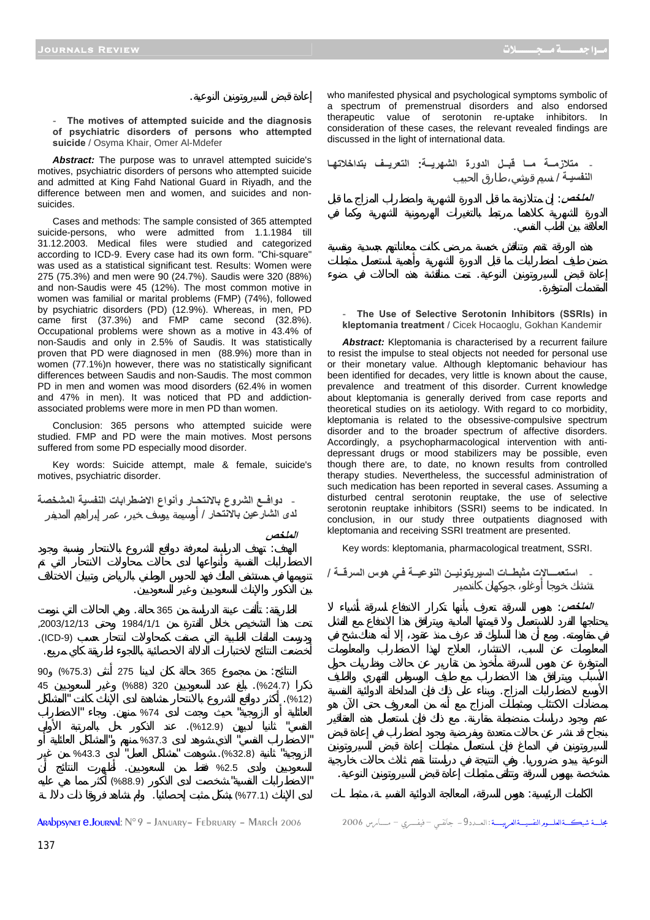العلاقة بين الطب النفسي.

المقدمات المتوفرة.

**- The motives of attempted suicide and the diagnosis of psychiatric disorders of persons who attempted suicide** / Osyma Khair, Omer Al-Mdefer

إعادة قبض السيروتونين النوعية.

*Abstract:* The purpose was to unravel attempted suicide's motives, psychiatric disorders of persons who attempted suicide and admitted at King Fahd National Guard in Riyadh, and the difference between men and women, and suicides and nonsuicides.

Cases and methods: The sample consisted of 365 attempted suicide-persons, who were admitted from 1.1.1984 till 31.12.2003. Medical files were studied and categorized according to ICD-9. Every case had its own form. "Chi-square" was used as a statistical significant test. Results: Women were 275 (75.3%) and men were 90 (24.7%). Saudis were 320 (88%) and non-Saudis were 45 (12%). The most common motive in women was familial or marital problems (FMP) (74%), followed by psychiatric disorders (PD) (12.9%). Whereas, in men, PD came first (37.3%) and FMP came second (32.8%). Occupational problems were shown as a motive in 43.4% of non-Saudis and only in 2.5% of Saudis. It was statistically proven that PD were diagnosed in men (88.9%) more than in women (77.1%)n however, there was no statistically significant differences between Saudis and non-Saudis. The most common PD in men and women was mood disorders (62.4% in women and 47% in men). It was noticed that PD and addictionassociated problems were more in men PD than women.

Conclusion: 365 persons who attempted suicide were studied. FMP and PD were the main motives. Most persons suffered from some PD especially mood disorder.

Key words: Suicide attempt, male & female, suicide's motives, psychiatric disorder.

**- دوافــع الشروع بالانتحـار وأنواع الاضطرابات النفسية المشخصة لدى الشارعين بالانتحار** / أوسيمة يوسف خير، عمر إبراهيم المديفر **الملخص**

الهدف: هدف الدراسة لمعرفة دوافع الشروع بالانتحار ونسبة وجود



Arabpsynet e.Journal: N°9 – January– February – March 2006 <sup>2006</sup> مـــــــارس – فيفــــــري – فـــيÿجا -9الـعــــدد: شبكـــــةالعلــــــومالنفسيـــــةالعربيـــــــة مجلــــــة

who manifested physical and psychological symptoms symbolic of a spectrum of premenstrual disorders and also endorsed therapeutic value of serotonin re-uptake inhibitors. In consideration of these cases, the relevant revealed findings are discussed in the light of international data.

**- متلازمــة مــا قبــل الدورة الشهريــة: التعريــف بتداخلاتهـا** النفسيـة / **الملخص**: إن متلازمة ما قبل الدورة الشهرية واضطراب المزاج ما قبل

The Use of Selective Serotonin Inhibitors (SSRIs) in **kleptomania treatment** / Cicek Hocaoglu, Gokhan Kandemir

إعادة قبض السيروتونين النوعية. تمت مناقشة هذه الحالات في ضوء

*Abstract:* Kleptomania is characterised by a recurrent failure to resist the impulse to steal objects not needed for personal use or their monetary value. Although kleptomanic behaviour has been identified for decades, very little is known about the cause, prevalence and treatment of this disorder. Current knowledge about kleptomania is generally derived from case reports and theoretical studies on its aetiology. With regard to co morbidity, kleptomania is related to the obsessive-compulsive spectrum disorder and to the broader spectrum of affective disorders. Accordingly, a psychopharmacological intervention with antidepressant drugs or mood stabilizers may be possible, even though there are, to date, no known results from controlled therapy studies. Nevertheless, the successful administration of such medication has been reported in several cases. Assuming a disturbed central serotonin reuptake, the use of selective serotonin reuptake inhibitors (SSRI) seems to be indicated. In conclusion, in our study three outpatients diagnosed with kleptomania and receiving SSRI treatment are presented.

Key words: kleptomania, pharmacological treatment, SSRI.

**- استعمـــالات مثبطــات السيريتونيــن النوعيــة فـي هوس السرقــة** /

**الملخص**: هوس السرقة تعرف بأنها تكرار الاندفاع لسرقة أشياء

مشخصة بهوس السرقة وتتلقى مثبطات إعادة قبض السيروتونين النوعية.